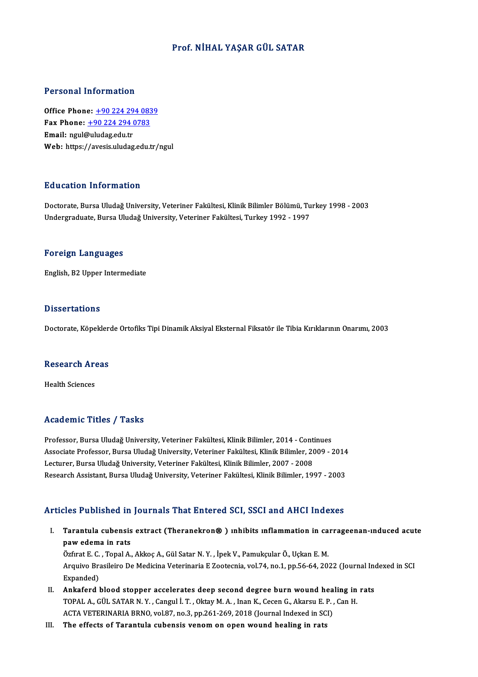### Prof.NİHAL YAŞAR GÜL SATAR

#### Personal Information

**Personal Information<br>Office Phone: +90 224 294 0839<br>Fax Phone: +90 224 294 0722** Fax Phone: <u>+90 224 294 083</u><br>Fax Phone: <u>+90 224 294 0783</u><br>Fmail: naul@uludes.edu.tr Office Phone: <u>+90 224 29</u><br>Fax Phone: <u>+90 224 294 (</u><br>Email: ngul[@uludag.edu.tr](tel:+90 224 294 0783) Fax Phone: <u>+90 224 294 0783</u><br>Email: ngul@uludag.edu.tr<br>Web: https://avesis.uludag.edu.tr/ngul

#### Education Information

Education Information<br>Doctorate, Bursa Uludağ University, Veteriner Fakültesi, Klinik Bilimler Bölümü, Turkey 1998 - 2003<br>Undergraduate Bursa Uludağ University, Veteriner Fakültesi, Turkey 1992 - 1997 Undergraduate,BursaUludağUniversity,Veteriner Fakültesi,Turkey1992 -1997 Undergraduate, Bursa Uludağ University, Veteriner Fakültesi, Turkey 1992 - 1997<br>Foreign Languages

English,B2Upper Intermediate

#### **Dissertations**

Doctorate, Köpeklerde Ortofiks Tipi Dinamik Aksiyal Eksternal Fiksatör ile Tibia Kırıklarının Onarımı, 2003

## boctorate, коректего<br>Research Areas R<mark>esearch Ar</mark><br>Health Sciences

# Academic Titles / Tasks

Professor, Bursa Uludağ University, Veteriner Fakültesi, Klinik Bilimler, 2014 - Continues Associate Articus 7 Austris<br>Professor, Bursa Uludağ University, Veteriner Fakültesi, Klinik Bilimler, 2014 - Continues<br>Associate Professor, Bursa Uludağ University, Veteriner Fakültesi, Klinik Bilimler, 2009 - 2014<br>Legtune Professor, Bursa Uludağ University, Veteriner Fakültesi, Klinik Bilimler, 2014 - Cont<br>Associate Professor, Bursa Uludağ University, Veteriner Fakültesi, Klinik Bilimler, 20<br>Lecturer, Bursa Uludağ University, Veteriner Fakü Associate Professor, Bursa Uludağ University, Veteriner Fakültesi, Klinik Bilimler, 2009 - 2014<br>Lecturer, Bursa Uludağ University, Veteriner Fakültesi, Klinik Bilimler, 2007 - 2008<br>Research Assistant, Bursa Uludağ Universi

# Research Assistant, Bursa Uludağ University, Veteriner Fakültesi, Klinik Bilimler, 1997 - 2003<br>Articles Published in Journals That Entered SCI, SSCI and AHCI Indexes

rticles Published in Journals That Entered SCI, SSCI and AHCI Indexes<br>I. Tarantula cubensis extract (Theranekron® ) ınhibits ınflammation in carrageenan-ınduced acute<br>naw adama in rats pawed a manusiasa init<br>Tarantula cubensis<br>pawedema in rats Tarantula cubensis extract (Theranekron®) ınhibits ınflammation in ca<br>paw edema in rats<br>Özfırat E. C. , Topal A., Akkoç A., Gül Satar N.Y. , İpek V., Pamukçular Ö., Uçkan E. M.<br>Arayiya Prasileire De Medicine Veterineria E

paw edema in rats<br>Özfırat E. C. , Topal A., Akkoç A., Gül Satar N. Y. , İpek V., Pamukçular Ö., Uçkan E. M.<br>Arquivo Brasileiro De Medicina Veterinaria E Zootecnia, vol.74, no.1, pp.56-64, 2022 (Journal Indexed in SCI<br>Evnan Özfirat E. C.<br>Arquivo Bra<br>Expanded)<br>Ankaford I Arquivo Brasileiro De Medicina Veterinaria E Zootecnia, vol.74, no.1, pp.56-64, 2022 (Journal Incorpor accelerates deep second degree burn wound healing in rats<br>II. Ankaferd blood stopper accelerates deep second degree bur

- Expanded)<br>Ankaferd blood stopper accelerates deep second degree burn wound healing in<br>TOPAL A.,GÜL SATAR N.Y., Cangul İ.T., Oktay M. A., Inan K., Cecen G., Akarsu E. P. , Can H.<br>ACTA VETERINARIA BRNO vol 97 no 3 nn 261 269 Ankaferd blood stopper accelerates deep second degree burn wound hea<br>TOPAL A., GÜL SATAR N. Y. , Cangul İ. T. , Oktay M. A. , Inan K., Cecen G., Akarsu E. P. ,<br>ACTA VETERINARIA BRNO, vol.87, no.3, pp.261-269, 2018 (Journal TOPAL A., GÜL SATAR N. Y. , Cangul İ. T. , Oktay M. A. , Inan K., Cecen G., Akarsu E. P. , Can H.<br>ACTA VETERINARIA BRNO, vol.87, no.3, pp.261-269, 2018 (Journal Indexed in SCI)<br>III. The effects of Tarantula cubensis venom
-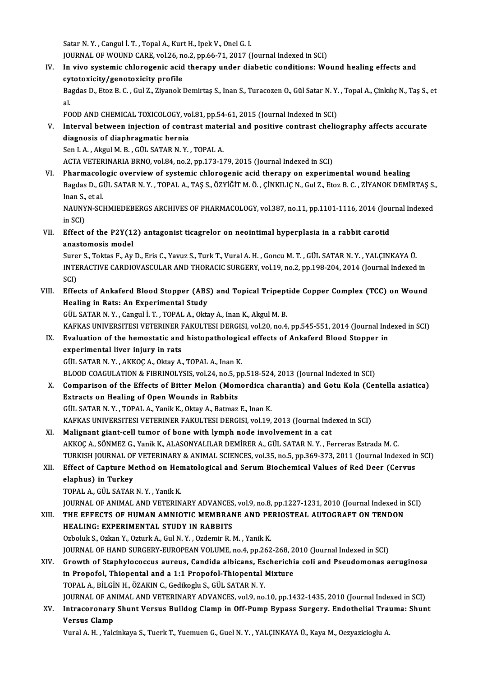Satar N.Y., Cangul İ.T., Topal A., Kurt H., Ipek V., Onel G. I.

JOURNAL OF WOUND CARE, vol.26, no.2, pp.66-71, 2017 (Journal Indexed in SCI)

Satar N. Y. , Cangul İ. T. , Topal A., Kurt H., Ipek V., Onel G. I.<br>JOURNAL OF WOUND CARE, vol.26, no.2, pp.66-71, 2017 (Journal Indexed in SCI)<br>IV. In vivo systemic chlorogenic acid therapy under diabetic conditions: Woun JOURNAL OF WOUND CARE, vol.26, no<br>In vivo systemic chlorogenic acid<br>cytotoxicity/genotoxicity profile<br>Pegdee D. Fter B.C. Cul 7, Zivenel: In vivo systemic chlorogenic acid therapy under diabetic conditions: Wound healing effects and<br>cytotoxicity/genotoxicity profile<br>Bagdas D., Etoz B. C. , Gul Z., Ziyanok Demirtaş S., Inan S., Turacozen O., Gül Satar N. Y. ,

cy<br>Ba<br>al. Bagdas D., Etoz B. C. , Gul Z., Ziyanok Demirtaş S., Inan S., Turacozen O., Gül Satar N. Y.<br>al.<br>FOOD AND CHEMICAL TOXICOLOGY, vol.81, pp.54-61, 2015 (Journal Indexed in SCI)<br>Intervel between injection of sentrast material

FOOD AND CHEMICAL TOXICOLOGY, vol.81, pp.54-61, 2015 (Journal Indexed in SCI)

al.<br>FOOD AND CHEMICAL TOXICOLOGY, vol.81, pp.54-61, 2015 (Journal Indexed in SCI)<br>V. Interval between injection of contrast material and positive contrast cheliography affects accurate<br>diagnosis of diaphragmatic hernia

Sen I. A., Akgul M. B., GÜL SATAR N. Y., TOPAL A.

ACTA VETERINARIA BRNO, vol.84, no.2, pp.173-179, 2015 (Journal Indexed in SCI)

VI. Pharmacologic overviewof systemic chlorogenic acid therapy on experimentalwound healing ACTA VETERINARIA BRNO, vol.84, no.2, pp.173-179, 2015 (Journal Indexed in SCI)<br><mark>Pharmacologic overview of systemic chlorogenic acid therapy on experimental wound healing</mark><br>Bagdas D., GÜL SATAR N. Y. , TOPAL A., TAŞ S., ÖZYİ P<mark>harmacolo</mark><br>Bagdas D., G<br>Inan S., et al.<br>NAUNVN SCI Bagdas D., GÜL SATAR N. Y. , TOPAL A., TAŞ S., ÖZYİĞİT M. Ö. , ÇİNKILIÇ N., Gul Z., Etoz B. C. , ZİYANOK DEMİRTAŞ S.<br>Inan S., et al.<br>NAUNYN-SCHMIEDEBERGS ARCHIVES OF PHARMACOLOGY, vol.387, no.11, pp.1101-1116, 2014 (Journa

Inan S.,<br>NAUNY<br>in SCI)<br>Effect NAUNYN-SCHMIEDEBERGS ARCHIVES OF PHARMACOLOGY, vol.387, no.11, pp.1101-1116, 2014 (Jou<br>in SCI)<br>VII. Effect of the P2Y(12) antagonist ticagrelor on neointimal hyperplasia in a rabbit carotid<br>anostomogis model

in SCI)<br>VII. Effect of the P2Y(12) antagonist ticagrelor on neointimal hyperplasia in a rabbit carotid<br>anastomosis model Effect of the P2Y(12) antagonist ticagrelor on neointimal hyperplasia in a rabbit carotid<br>anastomosis model<br>Surer S., Toktas F., Ay D., Eris C., Yavuz S., Turk T., Vural A. H. , Goncu M. T. , GÜL SATAR N. Y. , YALÇINKAYA Ü

anastomosis model<br>Surer S., Toktas F., Ay D., Eris C., Yavuz S., Turk T., Vural A. H. , Goncu M. T. , GÜL SATAR N. Y. , YALÇINKAYA Ü.<br>INTERACTIVE CARDIOVASCULAR AND THORACIC SURGERY, vol.19, no.2, pp.198-204, 2014 (Journal Sure<br>INTE<br>SCI)<br>Effe INTERACTIVE CARDIOVASCULAR AND THORACIC SURGERY, vol.19, no.2, pp.198-204, 2014 (Journal Indexed in<br>SCI)<br>VIII. Effects of Ankaferd Blood Stopper (ABS) and Topical Tripeptide Copper Complex (TCC) on Wound<br>Healing in Pats: A

## SCI)<br>VIII. Effects of Ankaferd Blood Stopper (ABS) and Topical Tripeptide Copper Complex (TCC) on Wound<br>Healing in Rats: An Experimental Study

GÜL SATARN.Y. ,Cangul İ.T. ,TOPALA.,OktayA., InanK.,AkgulM.B. Healing in Rats: An Experimental Study<br>GÜL SATAR N.Y., Cangul İ.T., TOPAL A., Oktay A., Inan K., Akgul M. B.<br>KAFKAS UNIVERSITESI VETERINER FAKULTESI DERGISI, vol.20, no.4, pp.545-551, 2014 (Journal Indexed in SCI)<br>Evaluati GÜL SATAR N. Y. , Cangul İ. T. , TOPAL A., Oktay A., Inan K., Akgul M. B.<br>KAFKAS UNIVERSITESI VETERINER FAKULTESI DERGISI, vol.20, no.4, pp.545-551, 2014 (Journal Ind<br>IX. Evaluation of the hemostatic and histopathological

## KAFKAS UNIVERSITESI VETERINER I<br>Evaluation of the hemostatic and<br>experimental liver injury in rats<br>CÜL SATAR N Y A*VVOCA* OktavA IX. Evaluation of the hemostatic and histopathological effects of Ankaferd Blood Stopper in<br>experimental liver injury in rats<br>GÜL SATAR N.Y., AKKOÇ A., Oktay A., TOPAL A., Inan K. experimental liver injury in rats<br>GÜL SATAR N.Y., AKKOÇ A., Oktay A., TOPAL A., Inan K.<br>BLOOD COAGULATION & FIBRINOLYSIS, vol.24, no.5, pp.518-524, 2013 (Journal Indexed in SCI)<br>Comparison of the Effects of Bitter Melen (M

## X. Comparison of the Effects of Bitter Melon (Momordica charantia) and Gotu Kola (Centella asiatica)<br>Extracts on Healing of Open Wounds in Rabbits BLOOD COAGULATION & FIBRINOLYSIS, vol.24, no.5, p<br>Comparison of the Effects of Bitter Melon (Mom<br>Extracts on Healing of Open Wounds in Rabbits<br>CUL SATAR N.Y., TORAL A, Yanik K. Oktov A, Betman

GÜL SATAR N.Y., TOPAL A., Yanik K., Oktay A., Batmaz E., Inan K. Extracts on Healing of Open Wounds in Rabbits<br>GÜL SATAR N. Y. , TOPAL A., Yanik K., Oktay A., Batmaz E., Inan K.<br>KAFKAS UNIVERSITESI VETERINER FAKULTESI DERGISI, vol.19, 2013 (Journal Indexed in SCI)<br>Malignant gjant gell t

- GÜL SATAR N.Y., TOPAL A., Yanik K., Oktay A., Batmaz E., Inan K.<br>KAFKAS UNIVERSITESI VETERINER FAKULTESI DERGISI, vol.19, 2013 (Journal Ind<br>XI. Malignant giant-cell tumor of bone with lymph node involvement in a cat XI. Malignant giant-cell tumor of bone with lymph node involvement in a cat<br>AKKOÇ A., SÖNMEZ G., Yanik K., ALASONYALILAR DEMİRER A., GÜL SATAR N.Y. , Ferreras Estrada M.C. TURKISH JOURNAL OF VETERINARY & ANIMAL SCIENCES, vol.35, no.5, pp.369-373, 2011 (Journal Indexed in SCI) AKKOÇ A., SÖNMEZ G., Yanik K., ALASONYALILAR DEMİRER A., GÜL SATAR N. Y. , Ferreras Estrada M. C.<br>TURKISH JOURNAL OF VETERINARY & ANIMAL SCIENCES, vol.35, no.5, pp.369-373, 2011 (Journal Indexed in<br>XII. Effect of Capture M
- elaphus) in Turkey<br>TOPAL A., GÜL SATAR N. Y. , Yanik K. Effect of Capture Method on Her<br>elaphus) in Turkey<br>TOPAL A., GÜL SATAR N.Y. , Yanik K.<br>JOUPNAL OF ANIMAL AND VETERIN

JOURNAL OF ANIMAL AND VETERINARY ADVANCES, vol.9, no.8, pp.1227-1231, 2010 (Journal Indexed in SCI)

## TOPAL A., GÜL SATAR N. Y. , Yanik K.<br>JOURNAL OF ANIMAL AND VETERINARY ADVANCES, vol.9, no.8, pp.1227-1231, 2010 (Journal Indexed in<br>XIII. THE EFFECTS OF HUMAN AMNIOTIC MEMBRANE AND PERIOSTEAL AUTOGRAFT ON TENDON<br>HEALIN JOURNAL OF ANIMAL AND VETERINARY ADVANCES<br>THE EFFECTS OF HUMAN AMNIOTIC MEMBRAN<br>HEALING: EXPERIMENTAL STUDY IN RABBITS<br>Orboluk S. Orkan V. Orturk A. Gul N. Y., Ordomin B. J THE EFFECTS OF HUMAN AMNIOTIC MEMBRANE AND PE<br>HEALING: EXPERIMENTAL STUDY IN RABBITS<br>Ozboluk S., Ozkan Y., Ozturk A., Gul N.Y. , Ozdemir R.M. , Yanik K.<br>JOUPMAL OF HAND SUBCERY FUBOREAN VOLUME no 4 nn 262 HEALING: EXPERIMENTAL STUDY IN RABBITS<br>Ozboluk S., Ozkan Y., Ozturk A., Gul N. Y. , Ozdemir R. M. , Yanik K.<br>JOURNAL OF HAND SURGERY-EUROPEAN VOLUME, no.4, pp.262-268, 2010 (Journal Indexed in SCI)<br>Crowth of Stanbylogogyys

### Ozboluk S., Ozkan Y., Ozturk A., Gul N. Y. , Ozdemir R. M. , Yanik K.<br>JOURNAL OF HAND SURGERY-EUROPEAN VOLUME, no.4, pp.262-268, 2010 (Journal Indexed in SCI)<br>XIV. Growth of Staphylococcus aureus, Candida albicans, Escheri JOURNAL OF HAND SURGERY-EUROPEAN VOLUME, no.4, pp.262-268, 2<br>Growth of Staphylococcus aureus, Candida albicans, Escherichi<br>in Propofol, Thiopental and a 1:1 Propofol-Thiopental Mixture<br>TOPAL A, PU CIN H, ÖZAKING Godilagus TOPALA.,BİLGİNH.,ÖZAKINC.,Gedikoglu S.,GÜL SATARN.Y. in Propofol, Thiopental and a 1:1 Propofol-Thiopental Mixture<br>TOPAL A., BİLGİN H., ÖZAKIN C., Gedikoglu S., GÜL SATAR N. Y.<br>JOURNAL OF ANIMAL AND VETERINARY ADVANCES, vol.9, no.10, pp.1432-1435, 2010 (Journal Indexed in SC

## XV. Intracoronary Shunt Versus Bul dog Clamp in Off-Pump Bypass Surgery. Endothelial Trauma: Shunt JOURNAL OF AN<br>Intracoronary<br>Versus Clamp<br><sup>Vanal A-H-- Vale</sub></sup>

Vural A.H., Yalcinkaya S., Tuerk T., Yuemuen G., Guel N.Y., YALÇINKAYA Ü., Kaya M., Oezyazicioglu A.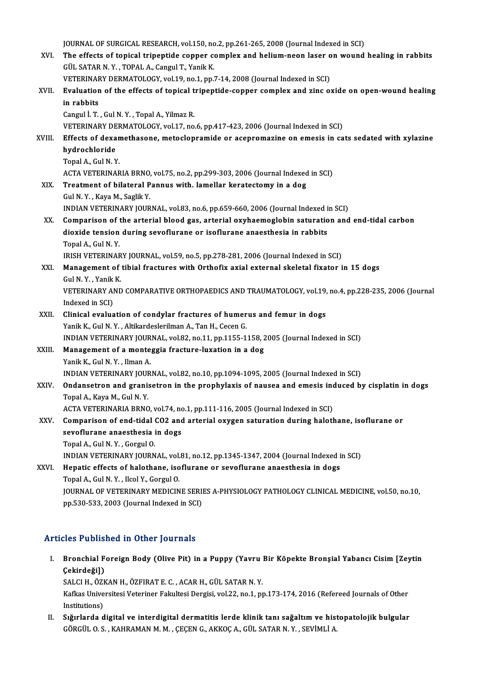JOURNAL OF SURGICAL RESEARCH, vol.150, no.2, pp.261-265, 2008 (Journal Indexed in SCI)<br>The effects of topical triportide conner complex and belium neap laser on wound JOURNAL OF SURGICAL RESEARCH, vol.150, no.2, pp.261-265, 2008 (Journal Indexed in SCI)<br>XVI. The effects of topical tripeptide copper complex and helium-neon laser on wound healing in rabbits JOURNAL OF SURGICAL RESEARCH, vol.150, no<br>The effects of topical tripeptide copper could SATAR N.Y., TOPAL A., Cangul T., Yanik K. The effects of topical tripeptide copper complex and helium-neon laser o<br>GÜL SATAR N.Y., TOPAL A., Cangul T., Yanik K.<br>VETERINARY DERMATOLOGY, vol.19, no.1, pp.7-14, 2008 (Journal Indexed in SCI)<br>Evaluation of the effects GÜL SATAR N. Y. , TOPAL A., Cangul T., Yanik K.<br>VETERINARY DERMATOLOGY, vol.19, no.1, pp.7-14, 2008 (Journal Indexed in SCI)<br>XVII. Evaluation of the effects of topical tripeptide-copper complex and zinc oxide on open-wound VETERINARY DERMATOLOGY, vol.19, no.1, pp.7-14, 2008 (Journal Indexed in SCI) Cangul İ. T., Gul N.Y., Topal A., Yilmaz R. in rabbits<br>Cangul İ. T. , Gul N. Y. , Topal A., Yilmaz R.<br>VETERINARY DERMATOLOGY, vol.17, no.6, pp.417-423, 2006 (Journal Indexed in SCI)<br>Effects of devemethesene, meteclepremide er asepremerine en emesis in se Cangul İ. T. , Gul N. Y. , Topal A., Yilmaz R.<br>VETERINARY DERMATOLOGY, vol.17, no.6, pp.417-423, 2006 (Journal Indexed in SCI)<br>XVIII. Effects of dexamethasone, metoclopramide or acepromazine on emesis in cats sedated with VETERINARY DE<br>Effects of dexa<br>hydrochloride<br>Tanal A. Gul N. V Effects of dexan<br>hydrochloride<br>Topal A., Gul N. Y.<br>ACTA VETERINAR hydrochloride<br>Topal A., Gul N. Y.<br>ACTA VETERINARIA BRNO, vol.75, no.2, pp.299-303, 2006 (Journal Indexed in SCI) XIX. Treatment of bilateral Pannus with. lamellar keratectomy in a dog GulN.Y. ,KayaM.,SaglikY. Treatment of bilateral Pannus with. lamellar keratectomy in a dog<br>Gul N.Y., Kaya M., Saglik Y.<br>INDIAN VETERINARY JOURNAL, vol.83, no.6, pp.659-660, 2006 (Journal Indexed in SCI)<br>Companison of the antenial blood gas, anteni XX. Comparison of the arterial blood gas, arterial oxyhaemoglobin saturation and end-tidal carbon INDIAN VETERINARY JOURNAL, vol.83, no.6, pp.659-660, 2006 (Journal Indexed i<br>Comparison of the arterial blood gas, arterial oxyhaemoglobin saturatio<br>dioxide tension during sevoflurane or isoflurane anaesthesia in rabbits<br>T dioxide tension during sevoflurane or isoflurane anaesthesia in rabbits<br>Topal A., Gul N.Y. IRISH VETERINARY JOURNAL, vol.59, no.5, pp.278-281, 2006 (Journal Indexed in SCI) Topal A., Gul N. Y.<br>IRISH VETERINARY JOURNAL, vol.59, no.5, pp.278-281, 2006 (Journal Indexed in SCI)<br>XXI. Management of tibial fractures with Orthofix axial external skeletal fixator in 15 dogs<br>Cul N. Y. Yanik K. **IRISH VETERINAR<br>Management of<br>Gul N. Y. , Yanik K.**<br>VETERIMARY AND Management of tibial fractures with Orthofix axial external skeletal fixator in 15 dogs<br>Gul N.Y., Yanik K.<br>VETERINARY AND COMPARATIVE ORTHOPAEDICS AND TRAUMATOLOGY, vol.19, no.4, pp.228-235, 2006 (Journal<br>Indexed in SCD. Gul N. Y. , Yanik<br>VETERINARY Al<br>Indexed in SCI)<br>Clinical evalue VETERINARY AND COMPARATIVE ORTHOPAEDICS AND TRAUMATOLOGY, vol.19,<br>Indexed in SCI)<br>XXII. Clinical evaluation of condylar fractures of humerus and femur in dogs<br>Xanik K. Cul N. Y. Altikardes and many faces of humerus and fem Indexed in SCI)<br>Clinical evaluation of condylar fractures of humer<br>Yanik K., Gul N. Y. , Altikardeslerilman A., Tan H., Cecen G.<br>INDIAN VETERINARY JOURNAL, VOL92, no 11, nn 1155-1 Yanik K., Gul N. Y. , Altikardeslerilman A., Tan H., Cecen G.<br>INDIAN VETERINARY JOURNAL, vol.82, no.11, pp.1155-1158, 2005 (Journal Indexed in SCI) Yanik K., Gul N. Y. , Altikardeslerilman A., Tan H., Cecen G.<br>INDIAN VETERINARY JOURNAL, vol.82, no.11, pp.1155-1158, 2<br>XXIII. Management of a monteggia fracture-luxation in a dog<br>Vanik K. Gul N. V. Jlman A. INDIAN VETERINARY JOUR<br>Management of a monte<br>Yanik K., Gul N.Y. , Ilman A.<br>INDIAN VETERINARY JOUR Management of a monteggia fracture-luxation in a dog<br>Yanik K., Gul N. Y. , Ilman A.<br>INDIAN VETERINARY JOURNAL, vol.82, no.10, pp.1094-1095, 2005 (Journal Indexed in SCI)<br>Ondepectron and grapisatron in the prophylavis of na Yanik K., Gul N. Y. , Ilman A.<br>INDIAN VETERINARY JOURNAL, vol.82, no.10, pp.1094-1095, 2005 (Journal Indexed in SCI)<br>XXIV. Ondansetron and granisetron in the prophylaxis of nausea and emesis induced by cisplatin in dog **INDIAN VETERINARY JOUR<br>Ondansetron and grani:<br>Topal A., Kaya M., Gul N. Y.<br>ACTA VETERINARIA BRNO** ACTA VETERINARIA BRNO, vol.74, no.1, pp.111-116, 2005 (Journal Indexed in SCI) Topal A., Kaya M., Gul N. Y.<br>ACTA VETERINARIA BRNO, vol.74, no.1, pp.111-116, 2005 (Journal Indexed in SCI)<br>XXV. Comparison of end-tidal CO2 and arterial oxygen saturation during halothane, isoflurane or<br>Asya flurane anasa ACTA VETERINARIA BRNO, vol.74, no<br>Comparison of end-tidal CO2 and<br>sevoflurane anaesthesia in dogs<br>Tanal A. Gul N. Y., Gargul O. Comparison of end-tidal<br>sevoflurane anaesthesia<br>Topal A., Gul N.Y. , Gorgul O.<br>INDIAN VETEDIMARY IOURN sevoflurane anaesthesia in dogs<br>Topal A., Gul N. Y. , Gorgul O.<br>INDIAN VETERINARY JOURNAL, vol.81, no.12, pp.1345-1347, 2004 (Journal Indexed in SCI) XXVI. Hepatic effects of halothane, isoflurane or sevoflurane anaesthesia in dogs TopalA.,GulN.Y. , IlcolY.,GorgulO. Hepatic effects of halothane, isoflurane or sevoflurane anaesthesia in dogs<br>Topal A., Gul N. Y. , Ilcol Y., Gorgul O.<br>JOURNAL OF VETERINARY MEDICINE SERIES A-PHYSIOLOGY PATHOLOGY CLINICAL MEDICINE, vol.50, no.10,<br>nn 520 52 Topal A., Gul N. Y. , Ilcol Y., Gorgul O.<br>JOURNAL OF VETERINARY MEDICINE SERI!<br>pp.530-533, 2003 (Journal Indexed in SCI) pp.530-533, 2003 (Journal Indexed in SCI)<br>Articles Published in Other Journals

rticles Published in Other Journals<br>I. Bronchial Foreign Body (Olive Pit) in a Puppy (Yavru Bir Köpekte Bronşial Yabancı Cisim [Zeytin<br>Cekindeğil) Secondustion<br>Bronchial F<br>Çekirdeği])<br>SALCLH ÖZE Bronchial Foreign Body (Olive Pit) in a Puppy (Yavru 1<br>Çekirdeği])<br>SALCI H., ÖZKAN H., ÖZFIRAT E. C. , ACAR H., GÜL SATAR N. Y.<br>Kefkes Universitesi Veteriner Fekultesi Dergisi vel 33-ne 1-nr

SALCI H., ÖZKAN H., ÖZFIRAT E. C., ACAR H., GÜL SATAR N.Y.

Çekirdeği])<br>SALCI H., ÖZKAN H., ÖZFIRAT E. C. , ACAR H., GÜL SATAR N. Y.<br>Kafkas Universitesi Veteriner Fakultesi Dergisi, vol.22, no.1, pp.173-174, 2016 (Refereed Journals of Other<br>Institutions) Kafkas Universitesi Veteriner Fakultesi Dergisi, vol.22, no.1, pp.173-174, 2016 (Refereed Journals of Other<br>Institutions)<br>II. Sığırlarda digital ve interdigital dermatitis lerde klinik tanı sağaltım ve histopatolojik bulgu

Institutions)<br>Sığırlarda digital ve interdigital dermatitis lerde klinik tanı sağaltım ve hist<br>GÖRGÜL O. S. , KAHRAMAN M. M. , ÇEÇEN G., AKKOÇ A., GÜL SATAR N. Y. , SEVİMLİ A.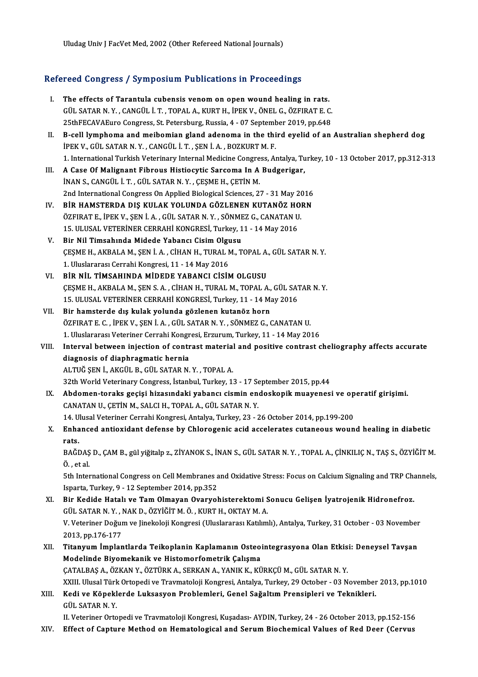Uludag Univ J FacVet Med, 2002 (Other Refereed National Journals)

# oludag Univ J Pacvet Med, 2002 (Uther Refereed National Journals)<br>Refereed Congress / Symposium Publications in Proceedings

- efereed Congress / Symposium Publications in Proceedings<br>I. The effects of Tarantula cubensis venom on open wound healing in rats.<br>CULLATARN V. CANCULLT TORALA KUPTH JPEK V. ÖNELG ÖZEIRATE C Tour Gongross / Symposium rusholelong in rroccoungs<br>The effects of Tarantula cubensis venom on open wound healing in rats.<br>GÜL SATAR N.Y., CANGÜL İ.T., TOPAL A., KURT H., İPEK V., ÖNEL G., ÖZFIRAT E. C. The effects of Tarantula cubensis venom on open wound healing in rats.<br>GÜL SATAR N.Y., CANGÜL İ.T., TOPAL A., KURT H., İPEK V., ÖNEL G., ÖZFIRAT E. C.<br>25thFECAVAEuro Congress, St. Petersburg, Russia, 4 - 07 September 2019, 25thFECAVAEuro Congress, St. Petersburg, Russia, 4 - 07 September 2019, pp.648
- II. B-cell lymphoma and meibomian gland adenoma in the third eyelid of an Australian shepherd dog<br>IPEK V., GÜL SATAR N.Y., CANGÜL İ.T., SEN İ.A., BOZKURT M.F. 1. InternationalTurkishVeterinary InternalMedicineCongress,Antalya,Turkey,10 -13October 2017,pp.312-313
- III. A Case Of Malignant Fibrous Histiocytic Sarcoma In A Budgerigar, İNAN S., CANGÜL İ. T., GÜL SATAR N. Y., CESME H., CETİN M. A Case Of Malignant Fibrous Histiocytic Sarcoma In A Budgerigar,<br>İNAN S., CANGÜL İ. T. , GÜL SATAR N. Y. , ÇEŞME H., ÇETİN M.<br>2nd International Congress On Applied Biological Sciences, 27 - 31 May 2016<br>PİR HAMSTERDA DIŞ KU INAN S., CANGÜL İ. T. , GÜL SATAR N. Y. , ÇEŞME H., ÇETİN M.<br>2nd International Congress On Applied Biological Sciences, 27 - 31 May 2016<br>IV. BİR HAMSTERDA DIŞ KULAK YOLUNDA GÖZLENEN KUTANÖZ HORN<br>ÖZEIDAT E, İDEK V. SEN İ.A.
- IV. BİR HAMSTERDA DIŞ KULAK YOLUNDA GÖZLENEN KUTANÖZ HORN<br>ÖZFIRAT E., İPEK V., ŞEN İ. A. , GÜL SATAR N. Y. , SÖNMEZ G., CANATAN U. BİR HAMSTERDA DIŞ KULAK YOLUNDA GÖZLENEN KUTANÖZ HO<br>ÖZFIRAT E., İPEK V., ŞEN İ. A. , GÜL SATAR N. Y. , SÖNMEZ G., CANATAN U<br>15. ULUSAL VETERİNER CERRAHİ KONGRESİ, Turkey, 11 - 14 May 2016<br>Bir Nil Timsahında Midada Yahansı ÖZFIRAT E., İPEK V., ŞEN İ. A. , GÜL SATAR N. Y. , SÖNME<br>15. ULUSAL VETERİNER CERRAHİ KONGRESİ, Turkey, 1<br>V. Bir Nil Timsahında Midede Yabancı Cisim Olgusu<br>CESME H. AKPALA M. SEN İ. A. CİHAN H. TURAL M. T
- 15. ULUSAL VETERİNER CERRAHİ KONGRESİ, Turkey, 11 14 May 2016<br>Bir Nil Timsahında Midede Yabancı Cisim Olgusu<br>ÇEŞME H., AKBALA M., ŞEN İ. A. , CİHAN H., TURAL M., TOPAL A., GÜL SATAR N. Y.<br>1. Uluslararası Carrabi Kansresi V. Bir Nil Timsahında Midede Yabancı Cisim Olgusu<br>ÇEŞME H., AKBALA M., ŞEN İ. A. , CİHAN H., TURAL M., TOPAL A., GÜL SATAR N. Y.<br>1. Uluslararası Cerrahi Kongresi, 11 - 14 May 2016
- VI. BİR NİL TİMSAHINDA MİDEDE YABANCI CİSİM OLGUSU ÇEŞMEH.,AKBALAM.,ŞENS.A. ,CİHANH.,TURALM.,TOPALA.,GÜL SATARN.Y. BİR NİL TİMSAHINDA MİDEDE YABANCI CİSİM OLGUSU<br>ÇEŞME H., AKBALA M., ŞEN S. A. , CİHAN H., TURAL M., TOPAL A., GÜL SAT<br>15. ULUSAL VETERİNER CERRAHİ KONGRESİ, Turkey, 11 - 14 May 2016<br>Bir hamatarda dış kulak yalında gözlenen CESME H., AKBALA M., SEN S. A., CIHAN H., TURAL M., TOPAL A.,<br>15. ULUSAL VETERINER CERRAHI KONGRESI, Turkey, 11 - 14 M.<br>VII. Bir hamsterde dış kulak yolunda gözlenen kutanöz horn<br>ÖZEIBAT E.G., İBEK V., SEN İ.A., CÜL SATAB
- 15. ULUSAL VETERİNER CERRAHİ KONGRESİ, Turkey, 11 14 May 2016<br>Bir hamsterde dış kulak yolunda gözlenen kutanöz horn<br>ÖZFIRAT E. C. , İPEK V., ŞEN İ. A. , GÜL SATAR N. Y. , SÖNMEZ G., CANATAN U.<br>1. Uluslararesi Veteriner C Bir hamsterde dış kulak yolunda gözlenen kutanöz horn<br>ÖZFIRAT E. C. , İPEK V., ŞEN İ. A. , GÜL SATAR N. Y. , SÖNMEZ G., CANATAN U.<br>1. Uluslararası Veteriner Cerrahi Kongresi, Erzurum, Turkey, 11 - 14 May 2016 ÖZFIRAT E. C. , İPEK V., ŞEN İ. A. , GÜL SATAR N. Y. , SÖNMEZ G., CANATAN U.<br>1. Uluslararası Veteriner Cerrahi Kongresi, Erzurum, Turkey, 11 - 14 May 2016<br>VIII. Interval between injection of contrast material and positive

## 1. Uluslararası Veteriner Cerrahi Kongr<br>Interval between injection of contr<br>diagnosis of diaphragmatic hernia<br>ALTUČ SEN İ. AKÇÜL B. CÜL SATAR N Interval between injection of contrast material<br>diagnosis of diaphragmatic hernia<br>ALTUĞ ŞEN İ., AKGÜL B., GÜL SATAR N. Y. , TOPAL A.<br>22th World Veterinery Congress, İstanbul Turkey, 1 diagnosis of diaphragmatic hernia<br>ALTUĞ ŞEN İ., AKGÜL B., GÜL SATAR N. Y. , TOPAL A.<br>32th World Veterinary Congress, İstanbul, Turkey, 13 - 17 September 2015, pp.44 ALTUĞ ŞEN İ., AKGÜL B., GÜL SATAR N. Y. , TOPAL A.<br>32th World Veterinary Congress, İstanbul, Turkey, 13 - 17 September 2015, pp.44<br>IX. Abdomen-toraks geçişi hizasındaki yabancı cismin endoskopik muayenesi ve operatif giriş

- CANATANU.,ÇETİNM.,SALCIH.,TOPALA.,GÜL SATARN.Y. Abdomen-toraks geçişi hizasındaki yabancı cismin endoskopik muayenesi ve op<br>CANATAN U., ÇETİN M., SALCI H., TOPAL A., GÜL SATAR N. Y.<br>14. Ulusal Veteriner Cerrahi Kongresi, Antalya, Turkey, 23 - 26 October 2014, pp.199-200 14. Ulusal Veteriner Cerrahi Kongresi, Antalya, Turkey, 23 - 26 October 2014, pp.199-200
- X. Enhanced antioxidant defense by Chlorogenic acid accelerates cutaneous wound healing in diabetic Enhanced antioxidant defense by Chlorogenic acid accelerates cutaneous wound healing in diabetic<br>rats.<br>BAĞDAŞ D., ÇAM B., gül yiğitalp z., ZİYANOK S., İNAN S., GÜL SATAR N. Y. , TOPAL A., ÇİNKILIÇ N., TAŞ S., ÖZYİĞİT M.<br>Ö.

r<mark>ats.</mark><br>BAĞDAŞ<br>Ö., et al. BAĞDAŞ D., ÇAM B., gül yiğitalp z., ZİYANOK S., İNAN S., GÜL SATAR N. Y. , TOPAL A., ÇİNKILIÇ N., TAŞ S., ÖZYİĞİT M.<br>Ö. , et al.<br>5th International Congress on Cell Membranes and Oxidative Stress: Focus on Calcium Signaling

Ö. , et al.<br>5th International Congress on Cell Membranes and Oxidative Stress: Focus on Calcium Signaling and TRP Channels,<br>Isparta, Turkey, 9 - 12 September 2014, pp.352 5th International Congress on Cell Membranes and Oxidative Stress: Focus on Calcium Signaling and TRP Changles Isparta, Turkey, 9 - 12 September 2014, pp.352<br>XI. Bir Kedide Hatalı ve Tam Olmayan Ovaryohisterektomi Sonucu G

- Isparta, Turkey, 9 12 September 2014, pp.352<br>Bir Kedide Hatalı ve Tam Olmayan Ovaryohisterektomi S<br>GÜL SATAR N. Y. , NAK D., ÖZYİĞİT M. Ö. , KURT H., OKTAY M. A.<br>V. Veteriner Doğum ve Jinekeleji Kensresi (Uluslararası Ka Bir Kedide Hatalı ve Tam Olmayan Ovaryohisterektomi Sonucu Gelişen İyatrojenik Hidronefroz.<br>GÜL SATAR N. Y. , NAK D., ÖZYİĞİT M. Ö. , KURT H., OKTAY M. A.<br>V. Veteriner Doğum ve Jinekoloji Kongresi (Uluslararası Katılımlı), 6ÜL SATAR N.Y., I<br>V. Veteriner Doğur<br>2013, pp.176-177<br>Titanının İmplan V. Veteriner Doğum ve Jinekoloji Kongresi (Uluslararası Katılımlı), Antalya, Turkey, 31 October - 03 November<br>2013, pp.176-177<br>XII. Titanyum İmplantlarda Teikoplanin Kaplamanın Osteointegrasyona Olan Etkisi: Deneysel T
- 2013, pp.176-177<br>Titanyum İmplantlarda Teikoplanin Kaplamanın Osteo:<br>Modelinde Biyomekanik ve Histomorfometrik Çalışma<br>CATALBAS A. ÖZKAN V. ÖZTÜRK A. SERKAN A. YANIK K. KÜ Titanyum İmplantlarda Teikoplanin Kaplamanın Osteointegrasyona Olan Etkis<br>Modelinde Biyomekanik ve Histomorfometrik Çalışma<br>ÇATALBAŞ A., ÖZKAN Y., ÖZTÜRK A., SERKAN A., YANIK K., KÜRKÇÜ M., GÜL SATAR N. Y.<br>YYUL Ulyasl Türk Modelinde Biyomekanik ve Histomorfometrik Çalışma<br>ÇATALBAŞ A., ÖZKAN Y., ÖZTÜRK A., SERKAN A., YANIK K., KÜRKÇÜ M., GÜL SATAR N. Y.<br>XXIII. Ulusal Türk Ortopedi ve Travmatoloji Kongresi, Antalya, Turkey, 29 October - 03 Nov CATALBAŞ A., ÖZKAN Y., ÖZTÜRK A., SERKAN A., YANIK K., KÜRKÇÜ M., GÜL SATAR N. Y.<br>XXIII. Ulusal Türk Ortopedi ve Travmatoloji Kongresi, Antalya, Turkey, 29 October - 03 November<br>XIII. Kedi ve Köpeklerde Luksasyon Probl

XXIII. Ulusal Tür<mark>k</mark><br>Kedi ve Köpekl<br>GÜL SATAR N. Y.<br><sup>II. Veterinen Orte</sup>

II. Veteriner Ortopedi ve Travmatoloji Kongresi, Kuşadası-AYDIN, Turkey, 24 - 26 October 2013, pp.152-156 XIV. Effect of Capture Method on Hematological and Serum Biochemical Values of Red Deer (Cervus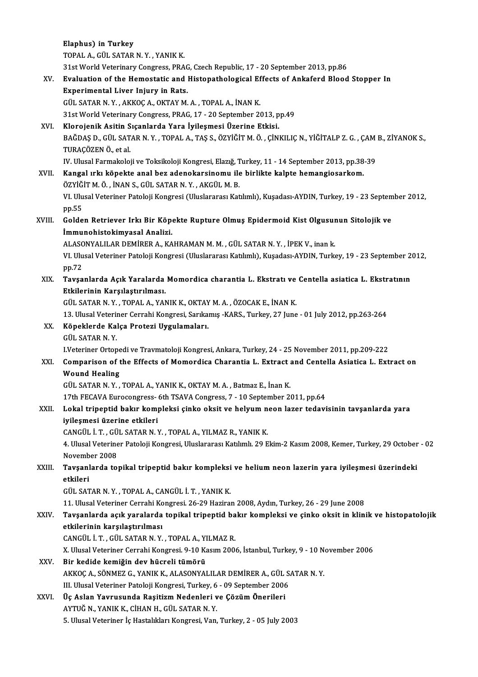Elaphus) in Turkey TOPALA.,GÜL SATARN.Y. ,YANIKK. 31stWorldVeterinaryCongress,PRAG,CzechRepublic,17 -20 September 2013,pp.86 TOPAL A., GÜL SATAR N. Y. , YANIK K.<br>31st World Veterinary Congress, PRAG, Czech Republic, 17 - 20 September 2013, pp.86<br>XV. Evaluation of the Hemostatic and Histopathological Effects of Ankaferd Blood Stopper In<br>Evasc 31st World Veterinary Congress, PRAC<br>Evaluation of the Hemostatic and I<br>Experimental Liver Injury in Rats.<br>CÜL SATAR N V. AKKOC A OKTAV M Experimental Liver Injury in Rats.<br>GÜL SATAR N.Y., AKKOÇ A., OKTAY M. A., TOPAL A., İNAN K. Experimental Liver Injury in Rats.<br>GÜL SATAR N.Y., AKKOÇ A., OKTAY M.A., TOPAL A., İNAN K.<br>31st World Veterinary Congress, PRAG, 17 - 20 September 2013, pp.49<br>Klarajanik Asitin Sısanlarda Vara İvilesmesi Üzerine Etkisi GÜL SATAR N. Y., AKKOÇ A., OKTAY M. A., TOPAL A., İNAN K.<br>31st World Veterinary Congress, PRAG, 17 - 20 September 2013, p<br>XVI. Klorojenik Asitin Sıçanlarda Yara İyileşmesi Üzerine Etkisi.<br>PAČDAS D. CÜL SATAR N. Y. TORAL A. 31st World Veterinary Congress, PRAG, 17 - 20 September 2013, pp.49<br>Klorojenik Asitin Sıçanlarda Yara İyileşmesi Üzerine Etkisi.<br>BAĞDAŞ D., GÜL SATAR N. Y. , TOPAL A., TAŞ S., ÖZYİĞİT M. Ö. , ÇİNKILIÇ N., YİĞİTALP Z. G. , Klorojenik Asitin S<br>BAĞDAŞ D., GÜL SAT.<br>TURAÇÖZEN Ö., et al.<br>IV. Ulucal Farmakalai BAĞDAŞ D., GÜL SATAR N. Y. , TOPAL A., TAŞ S., ÖZYİĞİT M. Ö. , ÇİNKILIÇ N., YİĞİTALP Z. G. , ÇAM<br>TURAÇÖZEN Ö., et al.<br>IV. Ulusal Farmakoloji ve Toksikoloji Kongresi, Elazığ, Turkey, 11 - 14 September 2013, pp.38-39<br>Kangal TURAÇÖZEN Ö., et al.<br>IV. Ulusal Farmakoloji ve Toksikoloji Kongresi, Elazığ, Turkey, 11 - 14 September 2013, pp.38<br>XVII. Kangal ırkı köpekte anal bez adenokarsinomu ile birlikte kalpte hemangiosarkom.<br>ÖZVİČİT M Ö. İNAN IV. Ulusal Farmakoloji ve Toksikoloji Kongresi, Elazığ, T<br>**Kangal ırkı köpekte anal bez adenokarsinomu ile**<br>ÖZYİĞİT M. Ö. , İNAN S., GÜL SATAR N. Y. , AKGÜL M. B.<br>VI. Ulusal Vetarinar Pataloji Kangresi (Uluslararesı Kat Kangal ırkı köpekte anal bez adenokarsinomu ile birlikte kalpte hemangiosarkom.<br>ÖZYİĞİT M. Ö. , İNAN S., GÜL SATAR N. Y. , AKGÜL M. B.<br>VI. Ulusal Veteriner Patoloji Kongresi (Uluslararası Katılımlı), Kuşadası-AYDIN, Turkey ÖZYİĞ<br>VI. Ulu<br>pp.55<br>Galda VI. Ulusal Veteriner Patoloji Kongresi (Uluslararası Katılımlı), Kuşadası-AYDIN, Turkey, 19 - 23 Septem<br>pp.55<br>XVIII. Golden Retriever Irkı Bir Köpekte Rupture Olmuş Epidermoid Kist Olgusunun Sitolojik ve<br>immunebistekimyese pp.55<br>Golden Retriever Irkı Bir Köp<br>İmmunohistokimyasal Analizi.<br>ALASONYALILAR DEMİRER A. KA Golden Retriever Irkı Bir Köpekte Rupture Olmuş Epidermoid Kist Olgusur<br>İmmunohistokimyasal Analizi.<br>ALASONYALILAR DEMİRER A., KAHRAMAN M. M. , GÜL SATAR N. Y. , İPEK V., inan k.<br>VI Ulusel Veteriner Peteleji Kongresi (Ulus İmmunohistokimyasal Analizi.<br>ALASONYALILAR DEMİRER A., KAHRAMAN M. M. , GÜL SATAR N. Y. , İPEK V., inan k.<br>VI. Ulusal Veteriner Patoloji Kongresi (Uluslararası Katılımlı), Kuşadası-AYDIN, Turkey, 19 - 23 September 2012,<br>nn ALASC<br>VI. Ulu<br>pp.72<br>Texes VI. Ulusal Veteriner Patoloji Kongresi (Uluslararası Katılımlı), Kuşadası-AYDIN, Turkey, 19 - 23 September 2<br>pp.72<br>XIX. Tavşanlarda Açık Yaralarda Momordica charantia L. Ekstratı ve Centella asiatica L. Ekstratının pp.72<br>Tavşanlarda Açık Yaralarda<br>Etkilerinin Karşılaştırılması.<br>CÜL SATAR N V. TORALA XAN Tavşanlarda Açık Yaralarda Momordica charantia L. Ekstratı ve<br>Etkilerinin Karşılaştırılması.<br>GÜL SATAR N.Y., TOPAL A., YANIK K., OKTAY M.A., ÖZOCAK E., İNAN K.<br>12 Hlucal Veteriner Cerrebi Kongresi Sarılamış, KARS, Turkey, Etkilerinin Karşılaştırılması.<br>GÜL SATAR N.Y., TOPAL A., YANIK K., OKTAY M. A. , ÖZOCAK E., İNAN K.<br>13. Ulusal Veteriner Cerrahi Kongresi, Sarıkamış -KARS., Turkey, 27 June - 01 July 2012, pp.263-264<br>Köneklerde Kalsa Prota GÜL SATAR N. Y. , TOPAL A., YANIK K., OKTAY<br>13. Ulusal Veteriner Cerrahi Kongresi, Sarıka<br>XX. Köpeklerde Kalça Protezi Uygulamaları.<br>CÜL SATAR N. Y 13. Ulusal Veterii<br>Köpeklerde Ka<br>GÜL SATAR N. Y.<br>Ukteriner Orten Köpeklerde Kalça Protezi Uygulamaları.<br>GÜL SATAR N. Y.<br>LVeteriner Ortopedi ve Travmatoloji Kongresi, Ankara, Turkey, 24 - 25 November 2011, pp.209-222<br>Comparison of the Effects of Momordias Charantia L. Extract and Contell GÜL SATAR N. Y.<br>I.Veteriner Ortopedi ve Travmatoloji Kongresi, Ankara, Turkey, 24 - 25 November 2011, pp.209-222<br>XXI. Comparison of the Effects of Momordica Charantia L. Extract and Centella Asiatica L. Extract on<br>Wound **IVeteriner Ortope<br>Comparison of t<br>Wound Healing** GÜL SATAR N.Y., TOPAL A., YANIK K., OKTAY M.A., Batmaz E., İnan K. 17th FECAVA Eurocongress-6th TSAVA Congress, 7 - 10 September 2011, pp.64 GÜL SATAR N. Y. , TOPAL A., YANIK K., OKTAY M. A. , Batmaz E., İnan K.<br>17th FECAVA Eurocongress- 6th TSAVA Congress, 7 - 10 September 2011, pp.64<br>XXII. Lokal tripeptid bakır kompleksi çinko oksit ve helyum neon lazer t 17th FECAVA Eurocongress-<br>Lokal tripeptid bakır kom<br>iyileşmesi üzerine etkileri<br>CANCÜL İ.T. CÜL SATAR N.Y Lokal tripeptid bakır kompleksi çinko oksit ve helyum n<br>iyileşmesi üzerine etkileri<br>CANGÜL İ. T. , GÜL SATAR N. Y. , TOPAL A., YILMAZ R., YANIK K.<br>4. Ulucel Veteriner Peteleji Kongresi Uluslararesı Katılımlı 20 F iyileşmesi üzerine etkileri<br>CANGÜL İ. T. , GÜL SATAR N. Y. , TOPAL A., YILMAZ R., YANIK K.<br>4. Ulusal Veteriner Patoloji Kongresi, Uluslararası Katılımlı. 29 Ekim-2 Kasım 2008, Kemer, Turkey, 29 October - 02 CANGÜL İ. T. , GÜ<br>4. Ulusal Veterine<br>November 2008<br>Tavçanlarda ta 4. Ulusal Veteriner Patoloji Kongresi, Uluslararası Katılımlı. 29 Ekim-2 Kasım 2008, Kemer, Turkey, 29 October<br>November 2008<br>XXIII. Tavşanlarda topikal tripeptid bakır kompleksi ve helium neon lazerin yara iyileşmesi ü November 2008<br>XXIII. Tavşanlarda topikal tripeptid bakır kompleksi ve helium neon lazerin yara iyileşmesi üzerindeki<br>etkileri GÜL SATARN.Y. ,TOPALA.,CANGÜL İ.T. ,YANIKK. 11.UlusalVeteriner CerrahiKongresi.26-29Haziran2008,Aydın,Turkey,26 -29 June 2008 GÜL SATAR N. Y. , TOPAL A., CANGÜL İ. T. , YANIK K.<br>11. Ulusal Veteriner Cerrahi Kongresi. 26-29 Haziran 2008, Aydın, Turkey, 26 - 29 June 2008<br>XXIV. Tavşanlarda açık yaralarda topikal tripeptid bakır kompleksi ve çink 11. Ulusal Veteriner Cerrahi Ko<br>Tavşanlarda açık yaralarda<br>etkilerinin karşılaştırılması<br>CANCÜL İ.T. CÜL SATAR N.Y. Tavşanlarda açık yaralarda topikal tripeptid ba<br>etkilerinin karşılaştırılması<br>CANGÜL İ. T. , GÜL SATAR N. Y. , TOPAL A., YILMAZ R.<br>Y. Ulucel Veteriner Cerrebi Kongresi, 9,10 Kesun 200 etkilerinin karşılaştırılması<br>CANGÜL İ. T. , GÜL SATAR N. Y. , TOPAL A., YILMAZ R.<br>X. Ulusal Veteriner Cerrahi Kongresi. 9-10 Kasım 2006, İstanbul, Turkey, 9 - 10 November 2006<br>Pir kodide komiğin dev büçpeli tümörü. CANGÜL İ. T. , GÜL SATAR N. Y. , TOPAL A., YILMAZ R.<br>X. Ulusal Veteriner Cerrahi Kongresi. 9-10 Kasım 2006, İstanbul, Turkey, 9 - 10 N.<br>XXV. Bir kedide kemiğin dev hücreli tümörü<br>AKKOÇ A., SÖNMEZ G., YANIK K., ALASONYALILA X. Ulusal Veteriner Cerrahi Kongresi. 9-10 Kasım 2006, İstanbul, Turkey, 9 - 10 N<br>Bir kedide kemiğin dev hücreli tümörü<br>AKKOÇ A., SÖNMEZ G., YANIK K., ALASONYALILAR DEMİRER A., GÜL SATAR N. Y.<br>III Illusal Veteriner Patalaj Bir kedide kemiğin dev hücreli tümörü<br>AKKOÇ A., SÖNMEZ G., YANIK K., ALASONYALILAR DEMİRER A., GÜL S.<br>III. Ulusal Veteriner Patoloji Kongresi, Turkey, 6 - 09 September 2006<br>Üs Aslan Yournaunda Basitirm Nadanlari ve Gözüm Ö XXVI. Üç Aslan Yavrusunda Raşitizm Nedenleri ve Çözüm Önerileri<br>AYTUĞ N., YANIK K., CİHAN H., GÜL SATAR N. Y. III. Ulusal Veteriner Patoloji Kongresi, Turkey, 6<br>Üç Aslan Yavrusunda Raşitizm Nedenleri v<br>AYTUĞ N., YANIK K., CİHAN H., GÜL SATAR N. Y.<br>E. Ulusal Vatarinar İs Hastalıları Kongresi, Van 5. Ulusal Veteriner İç Hastalıkları Kongresi, Van, Turkey, 2 - 05 July 2003